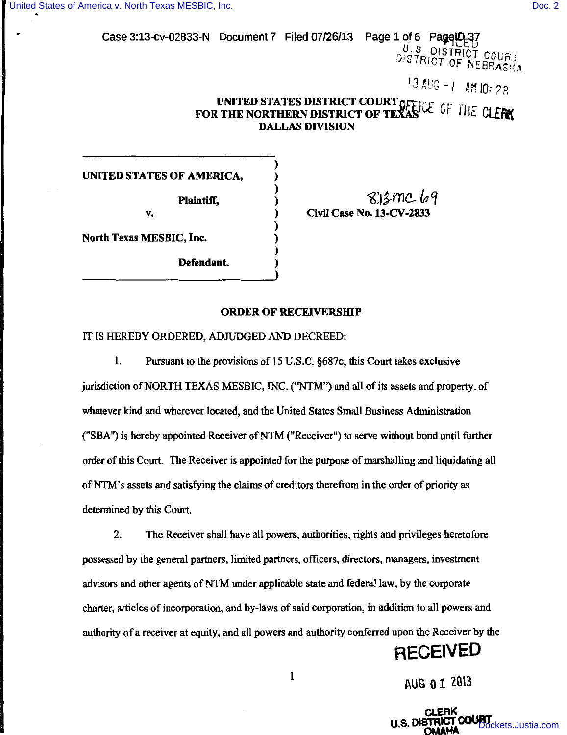Case 3:13-cv-02833-N Document 7 Filed 07/26/13 Page 1 of 6 Page ID U.S. DISTRICT COURT DISTRICT OF NEBRASKA

r3AUG-I M110=?R

## UNITED STATES DISTRICT COURT GET ICE OF THE CLERK FOR THE NORTHERN DISTRICT OF TEXAS' CF THE CLERK DALLAS DIVISION

UNITED STATES OF AMERICA,

v.

Plaintiff,  $\frac{1}{2}mc\omega q$ Civil Case No. 13-CV-283

North Texas MESBIC, Inc.

Defendant.

## ORDER OF RECEIVERSHIP

) ) ) ) ) ) ) ) )

IT IS HEREBY ORDERED, ADJUDGED AND DECREED:

1. Pursuant to the provisions of 15 U.S.C. §687c, this Court takes exclusive jurisdiction of NORTH TEXAS MESBIC, INC. ("NTM") and all of its assets and property, of whatever kind and wherever located, and the United States Small Business Administration ("SBA") is hereby appointed Receiver ofNTM ("Receiver") to serve without bond until further order of this Court. The Receiver is appointed for the purpose of marshalling and liquidating all ofNTM's assets and satisfying the claims of creditors therefrom in the order of priority as determined by this Court.

2. The Receiver shall have all powers, authorities, rights and privileges heretofore possessed by the general partners, limited partners, officers, directors, managers, investment advisors and other agents of NTM under applicable state and federal law, by the corporate charter, articles of incorporation, and by-laws of said corporation, in addition to all powers and authority of a receiver at equity, and all powers and authority conferred upon the Receiver by the

## **RECEIVED**

 $1$  AUG 0 1 2013

**CLERK U.S. DISTRICT COURT**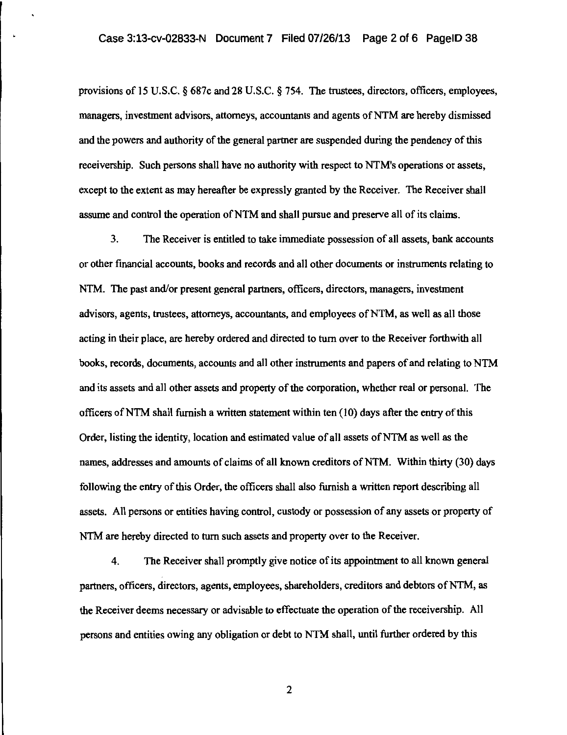provisions of 15 U.S.C. § 687c and 28 U.S.C. § 754. The trustees, directors, officers, employees, managers, investment advisors, attorneys, accountants and agents of NTM are hereby dismissed and the powers and authority of the general partner are suspended during the pendency of this receivership. Such persons shall have no authority with respect to NTM's operations or assets, except to the extent as may hereafter be expressly granted by the Receiver. The Receiver shall assume and control the operation ofNTM and shall pursue and preserve all of its claims.

3. The Receiver is entitled to take immediate possession of all assets, bank accounts or other financial accounts, books and records and all other documents or instruments relating to NTM. The past and/or present general partners, officers, directors, managers, investment advisors, agents, trustees, attorneys, accountants, and employees of NTM, as well as all those acting in their place, are hereby ordered and directed to turn over to the Receiver forthwith all books, records, documents, accounts and all other instruments and papers of and relating to NTM and its assets and all other assets and property of the corporation, whether real or personal. The officers ofNTM shall furnish a written statement within ten (10) days after the entry of this Order, listing the identity, location and estimated value of all assets ofNTM as well as the names, addresses and amounts of claims of all known creditors of NTM. Within thirty (30) days following the entry of this Order, the officers shall also furnish a written report describing all assets. All persons or entities having control, custody or possession of any assets or property of NTM are hereby directed to turn such assets and property over to the Receiver.

4. The Receiver shall promptly give notice of its appointment to all known general partners, officers, directors, agents, employees, shareholders, creditors and debtors of NTM, as the Receiver deems necessary or advisable to effectuate the operation of the receivership. All persons and entities owing any obligation or debt to NTM shall, until further ordered by this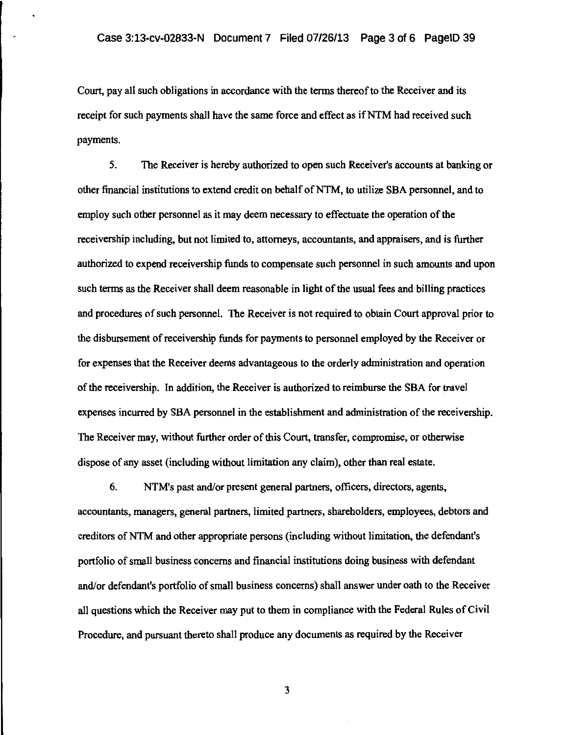Court, pay all such obligations in accordance with the terms thereof to the Receiver and its receipt for such payments shall have the same force and effect as if NTM had received such payments.

*5.* The Receiver is hereby authorized to open such Receiver's accounts at banking or other financial institutions to extend credit on behalf ofNTM, to utilize SBA personnel, and to employ such other personnel as it may deem necessary to effectuate the operation of the receivership including, but not limited to, attorneys, accountants, and appraisers, and is further authorized to expend receivership funds to compensate such personnel in such amounts and upon such terms as the Receiver shall deem reasonable in light of the usual fees and billing practices and procedures of such personnel. The Receiver is not required to obtain Court approval prior to the disbursement of receivership funds for payments to personnel employed by the Receiver or for expenses that the Receiver deems advantageous to the orderly administration and operation of the receivership. In addition, the Receiver is authorized to reimburse the SBA for travel expenses incurred by SBA personnel in the establishment and administration of the receivership. The Receiver may, without further order of this Court, transfer, compromise, or otherwise dispose of any asset (including without limitation any claim), other than real estate.

6. NTM's past and/or present general partners, officers, directors, agents, accountants, managers, general partners, limited partners, shareholders, employees, debtors and creditors of NTM and other appropriate persons (including without limitation, the defendant's portfolio of small business concerns and financial institutions doing business with defendant and/or defendant's portfolio of small business concerns) shall answer under oath to the Receiver all questions which the Receiver may put to them in compliance with the Federal Rules of Civil Procedure, and pursuant thereto shall produce any documents as required by the Receiver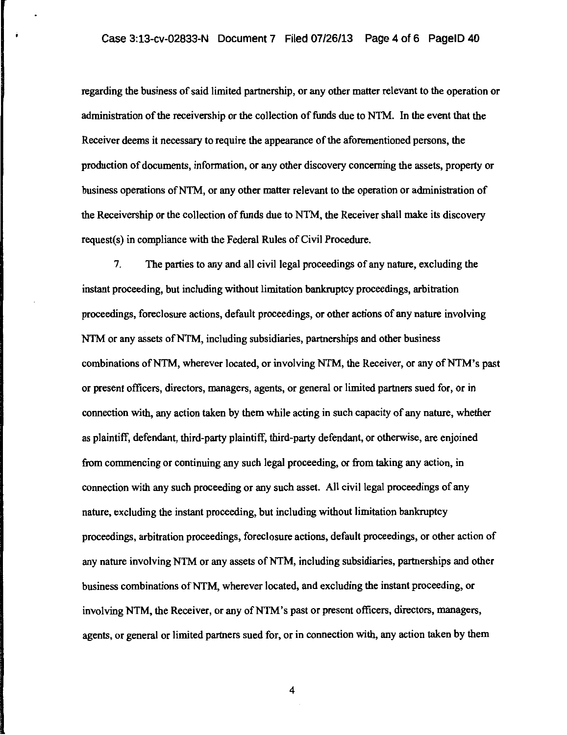÷

regarding the business of said limited partnership, or any other matter relevant to the operation or administration of the receivership or the collection of funds due to NTM. In the event that the Receiver deems it necessary to require the appearance of the aforementioned persons, the production of documents, information, or any other discovery concerning the assets, property or business operations ofNTM, or any other matter relevant to the operation or administration of the Receivership or the collection of funds due to NTM, the Receiver shall make its discovery request(s) in compliance with the Federal Rules of Civil Procedure.

7. The parties to any and all civil legal proceedings of any nature, excluding the instant proceeding, but including without limitation bankruptcy proceedings, arbitration proceedings, foreclosure actions, default proceedings, or other actions of any nature involving NTM or any assets of NTM, including subsidiaries, partnerships and other business combinations of NTM, wherever located, or involving NTM, the Receiver, or any of NTM's past or present officers, directors, managers, agents, or general or limited partners sued for, or in connection with, any action taken by them while acting in such capacity of any nature, whether as plaintiff, defendant, third-party plaintiff, third-party defendant, or otherwise, are enjoined from commencing or continuing any such legal proceeding, or from taking any action, in connection with any such proceeding or any such asset. All civil legal proceedings of any nature, excluding the instant proceeding, but including without limitation bankruptcy proceedings, arbitration proceedings, foreclosure actions, default proceedings, or other action of any nature involving NTM or any assets of NTM, including subsidiaries, partnerships and other business combinations ofNTM, wherever located, and excluding the instant proceeding, or involving NTM, the Receiver, or any of NTM's past or present officers, directors, managers, agents, or general or limited partners sued for, or in connection with, any action taken by them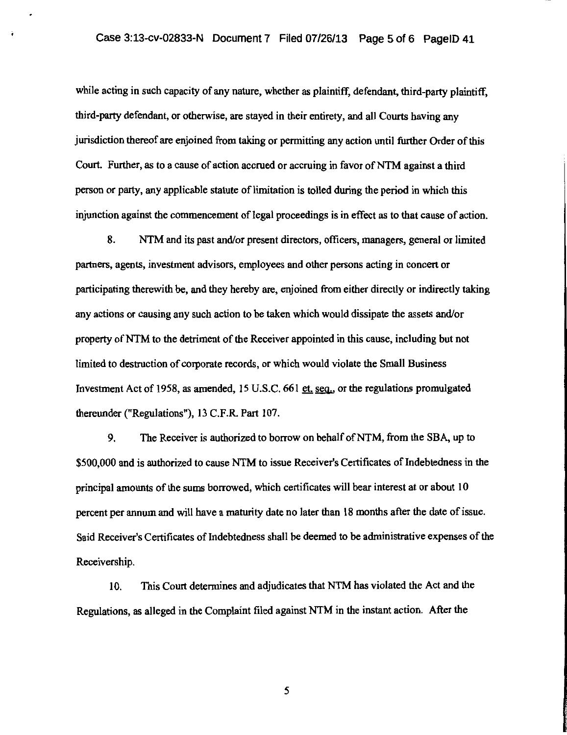while acting in such capacity of any nature, whether as plaintiff, defendant, third-party plaintiff, third-party defendant, or otherwise, are stayed in their entirety, and all Courts having any jurisdiction thereof are enjoined from taking or permitting any action until further Order of this Court. Further, as to a cause of action accrued or accruing in favor of NTM against a third person or party, any applicable statute of limitation is tolled during the period in which this injunction against the commencement of legal proceedings is in effect as to that cause of action.

8. NTM and its past and/or present directors, officers, managers, general or limited partners, agents, investment advisors, employees and other persons acting in concert or participating therewith be, and they hereby are, enjoined from either directly or indirectly taking any actions or causing any such action to be taken which would dissipate the assets and/or property of NTM to the detriment of the Receiver appointed in this cause, including but not limited to destruction of corporate records, or which would violate the Small Business Investment Act of 1958, as amended, 15 U.S.C. 661 et. seq., or the regulations promulgated thereunder ("Regulations"), l3 C.F.R. Part I07.

9. The Receiver is authorized to borrow on behalf of NTM, from the SBA, up to \$500,000 and is authorized to cause NTM to issue Receiver's Certificates of Indebtedness in the principal amounts of the sums borrowed, which certificates will bear interest at or about 10 percent per annum and will have a maturity date no later than I8 months after the date of issue. Said Receiver's Certificates of Indebtedness shall be deemed to be administrative expenses of the Receivership.

10. This Court determines and adjudicates that NTM has violated the Act and the Regulations, as alleged in the Complaint filed against NTM in the instant action. After the